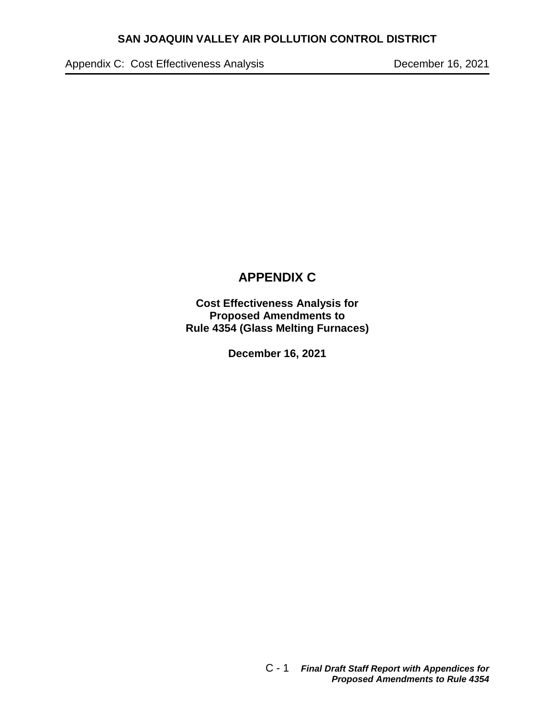Appendix C: Cost Effectiveness Analysis **December 16, 2021** 

# **APPENDIX C**

**Cost Effectiveness Analysis for Proposed Amendments to Rule 4354 (Glass Melting Furnaces)**

**December 16, 2021**

C - 1 *Final Draft Staff Report with Appendices for Proposed Amendments to Rule 4354*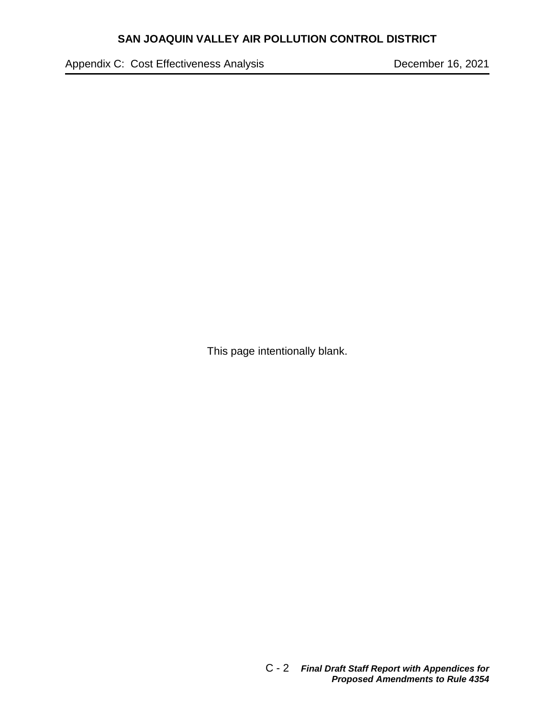Appendix C: Cost Effectiveness Analysis **December 16, 2021** 

This page intentionally blank.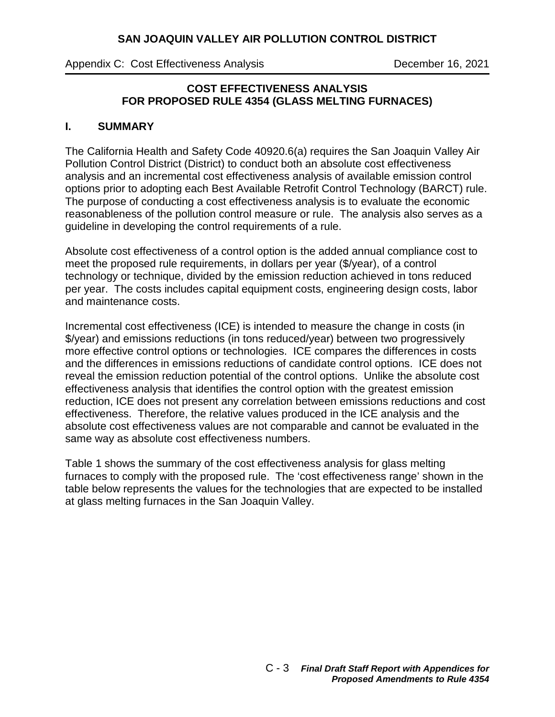Appendix C: Cost Effectiveness Analysis **December 16, 2021** 

#### **COST EFFECTIVENESS ANALYSIS FOR PROPOSED RULE 4354 (GLASS MELTING FURNACES)**

#### **I. SUMMARY**

The California Health and Safety Code 40920.6(a) requires the San Joaquin Valley Air Pollution Control District (District) to conduct both an absolute cost effectiveness analysis and an incremental cost effectiveness analysis of available emission control options prior to adopting each Best Available Retrofit Control Technology (BARCT) rule. The purpose of conducting a cost effectiveness analysis is to evaluate the economic reasonableness of the pollution control measure or rule. The analysis also serves as a guideline in developing the control requirements of a rule.

Absolute cost effectiveness of a control option is the added annual compliance cost to meet the proposed rule requirements, in dollars per year (\$/year), of a control technology or technique, divided by the emission reduction achieved in tons reduced per year. The costs includes capital equipment costs, engineering design costs, labor and maintenance costs.

Incremental cost effectiveness (ICE) is intended to measure the change in costs (in \$/year) and emissions reductions (in tons reduced/year) between two progressively more effective control options or technologies. ICE compares the differences in costs and the differences in emissions reductions of candidate control options. ICE does not reveal the emission reduction potential of the control options. Unlike the absolute cost effectiveness analysis that identifies the control option with the greatest emission reduction, ICE does not present any correlation between emissions reductions and cost effectiveness. Therefore, the relative values produced in the ICE analysis and the absolute cost effectiveness values are not comparable and cannot be evaluated in the same way as absolute cost effectiveness numbers.

Table 1 shows the summary of the cost effectiveness analysis for glass melting furnaces to comply with the proposed rule. The 'cost effectiveness range' shown in the table below represents the values for the technologies that are expected to be installed at glass melting furnaces in the San Joaquin Valley.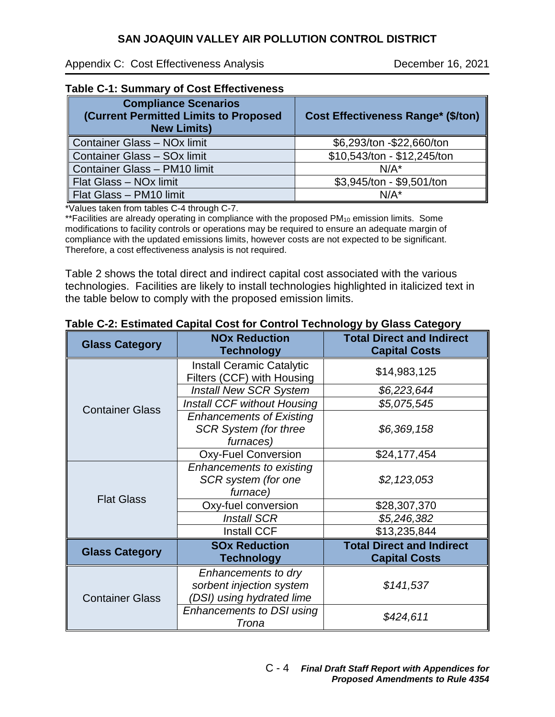Appendix C: Cost Effectiveness Analysis **December 16, 2021** 

| <b>Table C-1: Summary of Cost Effectiveness</b>                                            |                                           |
|--------------------------------------------------------------------------------------------|-------------------------------------------|
| <b>Compliance Scenarios</b><br>(Current Permitted Limits to Proposed<br><b>New Limits)</b> | <b>Cost Effectiveness Range* (\$/ton)</b> |
| <b>Container Glass - NOx limit</b>                                                         | \$6,293/ton - \$22,660/ton                |
| Container Glass - SOx limit                                                                | \$10,543/ton - \$12,245/ton               |
| <b>Container Glass - PM10 limit</b>                                                        | $N/A^*$                                   |
| Flat Glass - NOx limit                                                                     | \$3,945/ton - \$9,501/ton                 |
| Flat Glass - PM10 limit                                                                    | $N/A^*$                                   |

\*Values taken from tables C-4 through C-7.

\*\*Facilities are already operating in compliance with the proposed PM<sub>10</sub> emission limits. Some modifications to facility controls or operations may be required to ensure an adequate margin of compliance with the updated emissions limits, however costs are not expected to be significant. Therefore, a cost effectiveness analysis is not required.

Table 2 shows the total direct and indirect capital cost associated with the various technologies. Facilities are likely to install technologies highlighted in italicized text in the table below to comply with the proposed emission limits.

| <b>Glass Category</b>  | <b>NOx Reduction</b><br>Technology                             | <b>Total Direct and Indirect</b><br><b>Capital Costs</b> |  |
|------------------------|----------------------------------------------------------------|----------------------------------------------------------|--|
|                        | <b>Install Ceramic Catalytic</b><br>Filters (CCF) with Housing | \$14,983,125                                             |  |
|                        | <b>Install New SCR System</b>                                  | \$6,223,644                                              |  |
| <b>Container Glass</b> | <b>Install CCF without Housing</b>                             | \$5,075,545                                              |  |
|                        | <b>Enhancements of Existing</b>                                |                                                          |  |
|                        | <b>SCR System (for three</b>                                   | \$6,369,158                                              |  |
|                        | furnaces)                                                      |                                                          |  |
|                        | <b>Oxy-Fuel Conversion</b>                                     | \$24,177,454                                             |  |
|                        | <b>Enhancements to existing</b>                                |                                                          |  |
|                        | SCR system (for one                                            | \$2,123,053                                              |  |
| <b>Flat Glass</b>      | furnace)                                                       |                                                          |  |
|                        | Oxy-fuel conversion<br>\$28,307,370                            |                                                          |  |
|                        | <b>Install SCR</b>                                             | \$5,246,382                                              |  |
|                        | <b>Install CCF</b><br>\$13,235,844                             |                                                          |  |
| <b>Glass Category</b>  | <b>SOx Reduction</b>                                           | <b>Total Direct and Indirect</b>                         |  |
|                        | <b>Technology</b>                                              | <b>Capital Costs</b>                                     |  |
|                        | Enhancements to dry                                            |                                                          |  |
|                        | sorbent injection system                                       | \$141,537                                                |  |
| <b>Container Glass</b> | (DSI) using hydrated lime                                      |                                                          |  |
|                        | <b>Enhancements to DSI using</b>                               | \$424,611                                                |  |
|                        | Trona                                                          |                                                          |  |

#### **Table C-2: Estimated Capital Cost for Control Technology by Glass Category**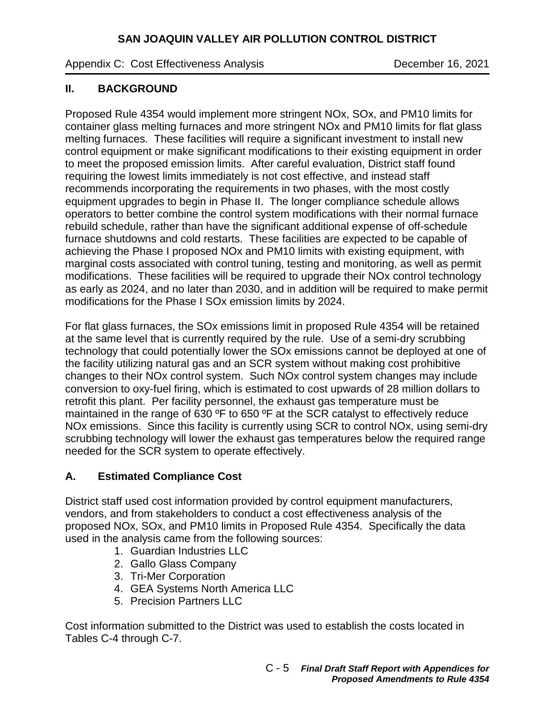Appendix C: Cost Effectiveness Analysis **December 16, 2021** 

#### **II. BACKGROUND**

Proposed Rule 4354 would implement more stringent NOx, SOx, and PM10 limits for container glass melting furnaces and more stringent NOx and PM10 limits for flat glass melting furnaces. These facilities will require a significant investment to install new control equipment or make significant modifications to their existing equipment in order to meet the proposed emission limits. After careful evaluation, District staff found requiring the lowest limits immediately is not cost effective, and instead staff recommends incorporating the requirements in two phases, with the most costly equipment upgrades to begin in Phase II. The longer compliance schedule allows operators to better combine the control system modifications with their normal furnace rebuild schedule, rather than have the significant additional expense of off-schedule furnace shutdowns and cold restarts. These facilities are expected to be capable of achieving the Phase I proposed NOx and PM10 limits with existing equipment, with marginal costs associated with control tuning, testing and monitoring, as well as permit modifications. These facilities will be required to upgrade their NOx control technology as early as 2024, and no later than 2030, and in addition will be required to make permit modifications for the Phase I SOx emission limits by 2024.

For flat glass furnaces, the SOx emissions limit in proposed Rule 4354 will be retained at the same level that is currently required by the rule. Use of a semi-dry scrubbing technology that could potentially lower the SOx emissions cannot be deployed at one of the facility utilizing natural gas and an SCR system without making cost prohibitive changes to their NOx control system. Such NOx control system changes may include conversion to oxy-fuel firing, which is estimated to cost upwards of 28 million dollars to retrofit this plant. Per facility personnel, the exhaust gas temperature must be maintained in the range of 630 ºF to 650 ºF at the SCR catalyst to effectively reduce NOx emissions. Since this facility is currently using SCR to control NOx, using semi-dry scrubbing technology will lower the exhaust gas temperatures below the required range needed for the SCR system to operate effectively.

### **A. Estimated Compliance Cost**

District staff used cost information provided by control equipment manufacturers, vendors, and from stakeholders to conduct a cost effectiveness analysis of the proposed NOx, SOx, and PM10 limits in Proposed Rule 4354. Specifically the data used in the analysis came from the following sources:

- 1. Guardian Industries LLC
- 2. Gallo Glass Company
- 3. Tri-Mer Corporation
- 4. GEA Systems North America LLC
- 5. Precision Partners LLC

Cost information submitted to the District was used to establish the costs located in Tables C-4 through C-7.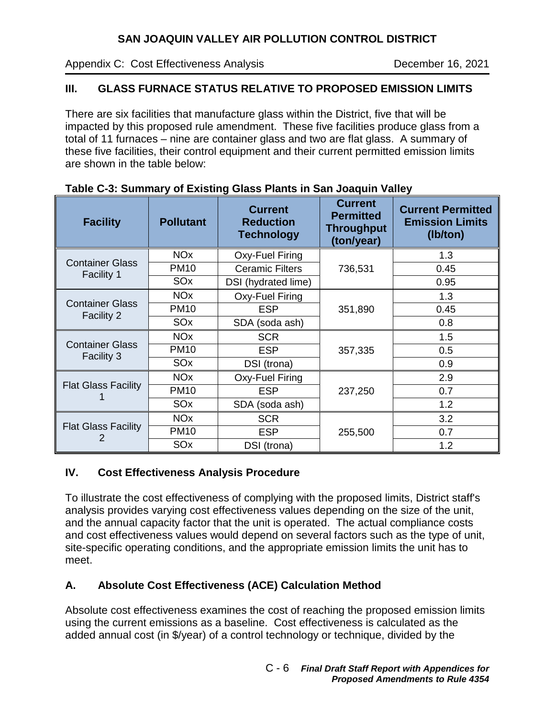Appendix C: Cost Effectiveness Analysis **December 16, 2021** 

## **III. GLASS FURNACE STATUS RELATIVE TO PROPOSED EMISSION LIMITS**

There are six facilities that manufacture glass within the District, five that will be impacted by this proposed rule amendment. These five facilities produce glass from a total of 11 furnaces – nine are container glass and two are flat glass. A summary of these five facilities, their control equipment and their current permitted emission limits are shown in the table below:

| <b>Facility</b>                      | <b>Pollutant</b>      | <b>Current</b><br><b>Reduction</b><br><b>Technology</b> | <b>Current</b><br><b>Permitted</b><br><b>Throughput</b><br>(ton/year) | <b>Current Permitted</b><br><b>Emission Limits</b><br>(Ib/ton) |
|--------------------------------------|-----------------------|---------------------------------------------------------|-----------------------------------------------------------------------|----------------------------------------------------------------|
|                                      | NO <sub>x</sub>       | Oxy-Fuel Firing                                         |                                                                       | 1.3                                                            |
| <b>Container Glass</b><br>Facility 1 | <b>PM10</b>           | <b>Ceramic Filters</b>                                  | 736,531                                                               | 0.45                                                           |
|                                      | SO <sub>x</sub>       | DSI (hydrated lime)                                     |                                                                       | 0.95                                                           |
|                                      | <b>NO<sub>x</sub></b> | Oxy-Fuel Firing                                         |                                                                       | 1.3                                                            |
| <b>Container Glass</b><br>Facility 2 | <b>PM10</b>           | ESP                                                     | 351,890                                                               | 0.45                                                           |
|                                      | SO <sub>x</sub>       | SDA (soda ash)                                          |                                                                       | 0.8                                                            |
|                                      | <b>NO<sub>x</sub></b> | <b>SCR</b>                                              |                                                                       | 1.5                                                            |
| <b>Container Glass</b>               | <b>PM10</b>           | <b>ESP</b>                                              | 357,335                                                               | 0.5                                                            |
| <b>Facility 3</b>                    | SO <sub>x</sub>       | DSI (trona)                                             |                                                                       | 0.9                                                            |
|                                      | <b>NO<sub>x</sub></b> | Oxy-Fuel Firing                                         |                                                                       | 2.9                                                            |
| <b>Flat Glass Facility</b>           | <b>PM10</b>           | <b>ESP</b>                                              | 237,250                                                               | 0.7                                                            |
|                                      | SO <sub>x</sub>       | SDA (soda ash)                                          |                                                                       | 1.2                                                            |
| <b>Flat Glass Facility</b>           | <b>NO<sub>x</sub></b> | <b>SCR</b>                                              |                                                                       | 3.2                                                            |
|                                      | <b>PM10</b>           | <b>ESP</b>                                              | 255,500                                                               | 0.7                                                            |
|                                      | SO <sub>x</sub>       | DSI (trona)                                             |                                                                       | 1.2                                                            |

#### **Table C-3: Summary of Existing Glass Plants in San Joaquin Valley**

### **IV. Cost Effectiveness Analysis Procedure**

To illustrate the cost effectiveness of complying with the proposed limits, District staff's analysis provides varying cost effectiveness values depending on the size of the unit, and the annual capacity factor that the unit is operated. The actual compliance costs and cost effectiveness values would depend on several factors such as the type of unit, site-specific operating conditions, and the appropriate emission limits the unit has to meet.

## **A. Absolute Cost Effectiveness (ACE) Calculation Method**

Absolute cost effectiveness examines the cost of reaching the proposed emission limits using the current emissions as a baseline. Cost effectiveness is calculated as the added annual cost (in \$/year) of a control technology or technique, divided by the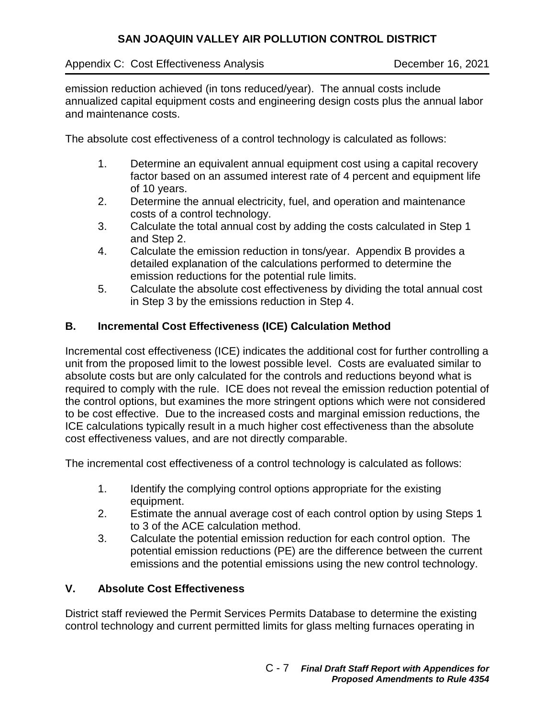#### Appendix C: Cost Effectiveness Analysis **December 16, 2021**

emission reduction achieved (in tons reduced/year). The annual costs include annualized capital equipment costs and engineering design costs plus the annual labor and maintenance costs.

The absolute cost effectiveness of a control technology is calculated as follows:

- 1. Determine an equivalent annual equipment cost using a capital recovery factor based on an assumed interest rate of 4 percent and equipment life of 10 years.
- 2. Determine the annual electricity, fuel, and operation and maintenance costs of a control technology.
- 3. Calculate the total annual cost by adding the costs calculated in Step 1 and Step 2.
- 4. Calculate the emission reduction in tons/year. Appendix B provides a detailed explanation of the calculations performed to determine the emission reductions for the potential rule limits.
- 5. Calculate the absolute cost effectiveness by dividing the total annual cost in Step 3 by the emissions reduction in Step 4.

### **B. Incremental Cost Effectiveness (ICE) Calculation Method**

Incremental cost effectiveness (ICE) indicates the additional cost for further controlling a unit from the proposed limit to the lowest possible level. Costs are evaluated similar to absolute costs but are only calculated for the controls and reductions beyond what is required to comply with the rule. ICE does not reveal the emission reduction potential of the control options, but examines the more stringent options which were not considered to be cost effective. Due to the increased costs and marginal emission reductions, the ICE calculations typically result in a much higher cost effectiveness than the absolute cost effectiveness values, and are not directly comparable.

The incremental cost effectiveness of a control technology is calculated as follows:

- 1. Identify the complying control options appropriate for the existing equipment.
- 2. Estimate the annual average cost of each control option by using Steps 1 to 3 of the ACE calculation method.
- 3. Calculate the potential emission reduction for each control option. The potential emission reductions (PE) are the difference between the current emissions and the potential emissions using the new control technology.

### **V. Absolute Cost Effectiveness**

District staff reviewed the Permit Services Permits Database to determine the existing control technology and current permitted limits for glass melting furnaces operating in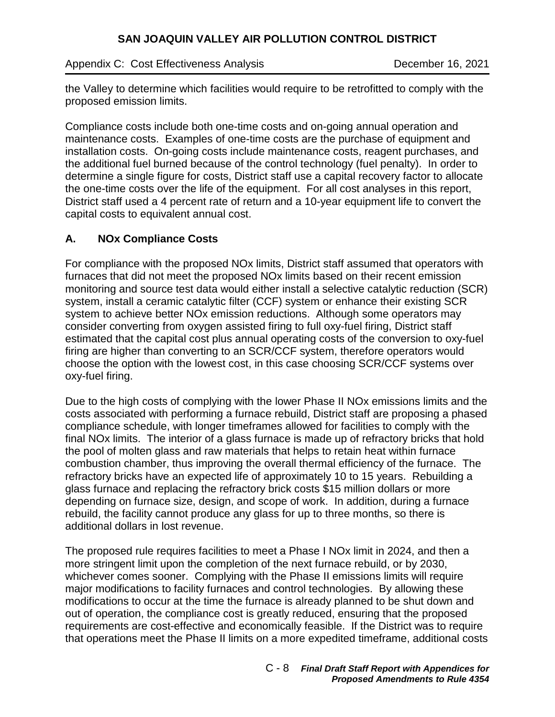Appendix C: Cost Effectiveness Analysis **December 16, 2021** 

the Valley to determine which facilities would require to be retrofitted to comply with the proposed emission limits.

Compliance costs include both one-time costs and on-going annual operation and maintenance costs. Examples of one-time costs are the purchase of equipment and installation costs. On-going costs include maintenance costs, reagent purchases, and the additional fuel burned because of the control technology (fuel penalty). In order to determine a single figure for costs, District staff use a capital recovery factor to allocate the one-time costs over the life of the equipment. For all cost analyses in this report, District staff used a 4 percent rate of return and a 10-year equipment life to convert the capital costs to equivalent annual cost.

## **A. NOx Compliance Costs**

For compliance with the proposed NOx limits, District staff assumed that operators with furnaces that did not meet the proposed NOx limits based on their recent emission monitoring and source test data would either install a selective catalytic reduction (SCR) system, install a ceramic catalytic filter (CCF) system or enhance their existing SCR system to achieve better NOx emission reductions. Although some operators may consider converting from oxygen assisted firing to full oxy-fuel firing, District staff estimated that the capital cost plus annual operating costs of the conversion to oxy-fuel firing are higher than converting to an SCR/CCF system, therefore operators would choose the option with the lowest cost, in this case choosing SCR/CCF systems over oxy-fuel firing.

Due to the high costs of complying with the lower Phase II NOx emissions limits and the costs associated with performing a furnace rebuild, District staff are proposing a phased compliance schedule, with longer timeframes allowed for facilities to comply with the final NOx limits. The interior of a glass furnace is made up of refractory bricks that hold the pool of molten glass and raw materials that helps to retain heat within furnace combustion chamber, thus improving the overall thermal efficiency of the furnace. The refractory bricks have an expected life of approximately 10 to 15 years. Rebuilding a glass furnace and replacing the refractory brick costs \$15 million dollars or more depending on furnace size, design, and scope of work. In addition, during a furnace rebuild, the facility cannot produce any glass for up to three months, so there is additional dollars in lost revenue.

The proposed rule requires facilities to meet a Phase I NOx limit in 2024, and then a more stringent limit upon the completion of the next furnace rebuild, or by 2030, whichever comes sooner. Complying with the Phase II emissions limits will require major modifications to facility furnaces and control technologies. By allowing these modifications to occur at the time the furnace is already planned to be shut down and out of operation, the compliance cost is greatly reduced, ensuring that the proposed requirements are cost-effective and economically feasible. If the District was to require that operations meet the Phase II limits on a more expedited timeframe, additional costs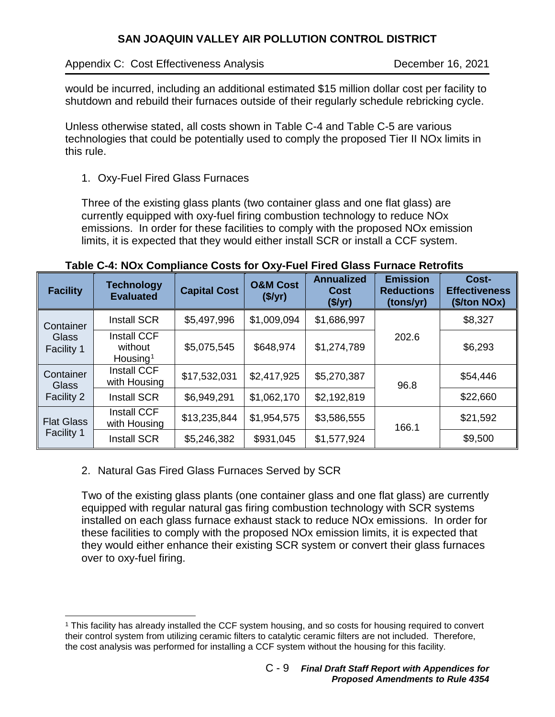Appendix C: Cost Effectiveness Analysis **December 16, 2021** 

would be incurred, including an additional estimated \$15 million dollar cost per facility to shutdown and rebuild their furnaces outside of their regularly schedule rebricking cycle.

Unless otherwise stated, all costs shown in Table C-4 and Table C-5 are various technologies that could be potentially used to comply the proposed Tier II NOx limits in this rule.

1. Oxy-Fuel Fired Glass Furnaces

Three of the existing glass plants (two container glass and one flat glass) are currently equipped with oxy-fuel firing combustion technology to reduce NOx emissions. In order for these facilities to comply with the proposed NOx emission limits, it is expected that they would either install SCR or install a CCF system.

| <b>Facility</b>                 | <b>Technology</b><br><b>Evaluated</b>                 | <b>Capital Cost</b> | <b>O&amp;M Cost</b><br>$(\frac{5}{yr})$ | <b>Annualized</b><br><b>Cost</b><br>(\$/yr) | <b>Emission</b><br><b>Reductions</b><br>(tons/yr) | Cost-<br><b>Effectiveness</b><br>(\$/ton NOx) |
|---------------------------------|-------------------------------------------------------|---------------------|-----------------------------------------|---------------------------------------------|---------------------------------------------------|-----------------------------------------------|
| Container                       | <b>Install SCR</b>                                    | \$5,497,996         | \$1,009,094                             | \$1,686,997                                 | 202.6                                             | \$8,327                                       |
| <b>Glass</b><br>Facility 1      | <b>Install CCF</b><br>without<br>Housing <sup>1</sup> | \$5,075,545         | \$648,974                               | \$1,274,789                                 |                                                   | \$6,293                                       |
| Container<br><b>Glass</b>       | <b>Install CCF</b><br>with Housing                    | \$17,532,031        | \$2,417,925                             | \$5,270,387                                 | 96.8                                              | \$54,446                                      |
| Facility 2                      | <b>Install SCR</b>                                    | \$6,949,291         | \$1,062,170                             | \$2,192,819                                 |                                                   | \$22,660                                      |
| <b>Flat Glass</b><br>Facility 1 | <b>Install CCF</b><br>with Housing                    | \$13,235,844        | \$1,954,575                             | \$3,586,555                                 | 166.1                                             | \$21,592                                      |
|                                 | <b>Install SCR</b>                                    | \$5,246,382         | \$931,045                               | \$1,577,924                                 |                                                   | \$9,500                                       |

### **Table C-4: NOx Compliance Costs for Oxy-Fuel Fired Glass Furnace Retrofits**

### 2. Natural Gas Fired Glass Furnaces Served by SCR

Two of the existing glass plants (one container glass and one flat glass) are currently equipped with regular natural gas firing combustion technology with SCR systems installed on each glass furnace exhaust stack to reduce NOx emissions. In order for these facilities to comply with the proposed NOx emission limits, it is expected that they would either enhance their existing SCR system or convert their glass furnaces over to oxy-fuel firing.

<span id="page-8-0"></span> <sup>1</sup> This facility has already installed the CCF system housing, and so costs for housing required to convert their control system from utilizing ceramic filters to catalytic ceramic filters are not included. Therefore, the cost analysis was performed for installing a CCF system without the housing for this facility.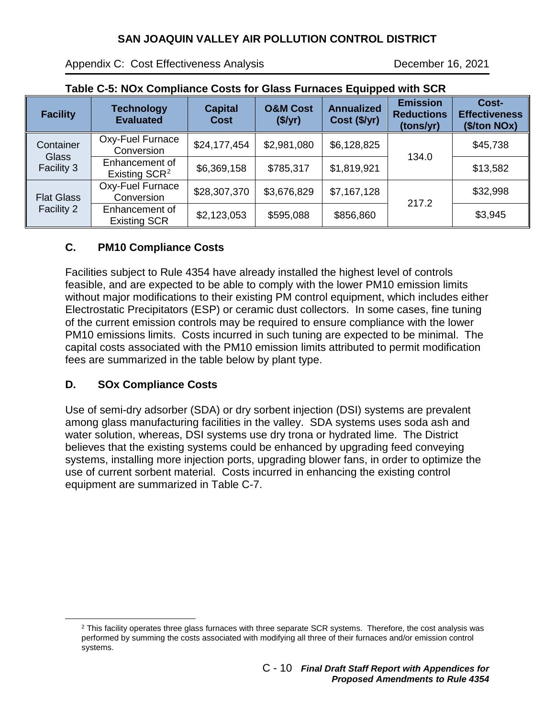Appendix C: Cost Effectiveness Analysis **December 16, 2021** 

| <b>Facility</b>                 | <b>Technology</b><br><b>Evaluated</b>       | <b>Capital</b><br><b>Cost</b> | <b>O&amp;M Cost</b><br>$(\frac{5}{yr})$ | <b>Annualized</b><br>Cost (\$/yr) | <b>Emission</b><br><b>Reductions</b><br>(tons/yr) | Cost-<br><b>Effectiveness</b><br>(\$/ton NOx) |
|---------------------------------|---------------------------------------------|-------------------------------|-----------------------------------------|-----------------------------------|---------------------------------------------------|-----------------------------------------------|
| Container                       | Oxy-Fuel Furnace<br>Conversion              | \$24,177,454                  | \$2,981,080                             | \$6,128,825                       |                                                   | \$45,738                                      |
| <b>Glass</b><br>Facility 3      | Enhancement of<br>Existing SCR <sup>2</sup> | \$6,369,158                   | \$785,317                               | \$1,819,921                       | 134.0                                             | \$13,582                                      |
| <b>Flat Glass</b><br>Facility 2 | Oxy-Fuel Furnace<br>Conversion              | \$28,307,370                  | \$3,676,829                             | \$7,167,128                       | 217.2                                             | \$32,998                                      |
|                                 | Enhancement of<br><b>Existing SCR</b>       | \$2,123,053                   | \$595,088                               | \$856,860                         |                                                   | \$3,945                                       |

## **Table C-5: NOx Compliance Costs for Glass Furnaces Equipped with SCR**

#### **C. PM10 Compliance Costs**

Facilities subject to Rule 4354 have already installed the highest level of controls feasible, and are expected to be able to comply with the lower PM10 emission limits without major modifications to their existing PM control equipment, which includes either Electrostatic Precipitators (ESP) or ceramic dust collectors. In some cases, fine tuning of the current emission controls may be required to ensure compliance with the lower PM10 emissions limits. Costs incurred in such tuning are expected to be minimal. The capital costs associated with the PM10 emission limits attributed to permit modification fees are summarized in the table below by plant type.

### **D. SOx Compliance Costs**

Use of semi-dry adsorber (SDA) or dry sorbent injection (DSI) systems are prevalent among glass manufacturing facilities in the valley. SDA systems uses soda ash and water solution, whereas, DSI systems use dry trona or hydrated lime. The District believes that the existing systems could be enhanced by upgrading feed conveying systems, installing more injection ports, upgrading blower fans, in order to optimize the use of current sorbent material. Costs incurred in enhancing the existing control equipment are summarized in Table C-7.

<span id="page-9-0"></span> $2$  This facility operates three glass furnaces with three separate SCR systems. Therefore, the cost analysis was performed by summing the costs associated with modifying all three of their furnaces and/or emission control systems.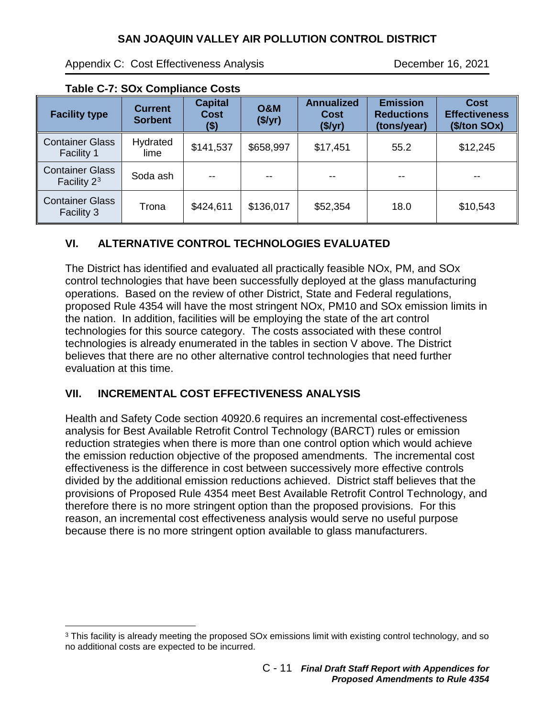Appendix C: Cost Effectiveness Analysis **December 16, 2021** 

| <b>Facility type</b>                     | <b>Current</b><br><b>Sorbent</b> | <b>Capital</b><br><b>Cost</b><br>(\$) | <b>O&amp;M</b><br>(\$/yr) | <b>Annualized</b><br><b>Cost</b><br>(\$/yr) | <b>Emission</b><br><b>Reductions</b><br>(tons/year) | <b>Cost</b><br><b>Effectiveness</b><br>(\$/ton SOx) |
|------------------------------------------|----------------------------------|---------------------------------------|---------------------------|---------------------------------------------|-----------------------------------------------------|-----------------------------------------------------|
| <b>Container Glass</b><br>Facility 1     | Hydrated<br>lime                 | \$141,537                             | \$658,997                 | \$17,451                                    | 55.2                                                | \$12,245                                            |
| <b>Container Glass</b><br>Facility $2^3$ | Soda ash                         |                                       |                           |                                             | $- -$                                               | --                                                  |
| <b>Container Glass</b><br>Facility 3     | Trona                            | \$424,611                             | \$136,017                 | \$52,354                                    | 18.0                                                | \$10,543                                            |

## **Table C-7: SOx Compliance Costs**

## **VI. ALTERNATIVE CONTROL TECHNOLOGIES EVALUATED**

The District has identified and evaluated all practically feasible NOx, PM, and SOx control technologies that have been successfully deployed at the glass manufacturing operations. Based on the review of other District, State and Federal regulations, proposed Rule 4354 will have the most stringent NOx, PM10 and SOx emission limits in the nation. In addition, facilities will be employing the state of the art control technologies for this source category. The costs associated with these control technologies is already enumerated in the tables in section V above. The District believes that there are no other alternative control technologies that need further evaluation at this time.

### **VII. INCREMENTAL COST EFFECTIVENESS ANALYSIS**

Health and Safety Code section 40920.6 requires an incremental cost-effectiveness analysis for Best Available Retrofit Control Technology (BARCT) rules or emission reduction strategies when there is more than one control option which would achieve the emission reduction objective of the proposed amendments. The incremental cost effectiveness is the difference in cost between successively more effective controls divided by the additional emission reductions achieved. District staff believes that the provisions of Proposed Rule 4354 meet Best Available Retrofit Control Technology, and therefore there is no more stringent option than the proposed provisions. For this reason, an incremental cost effectiveness analysis would serve no useful purpose because there is no more stringent option available to glass manufacturers.

<span id="page-10-0"></span><sup>&</sup>lt;sup>3</sup> This facility is already meeting the proposed SOx emissions limit with existing control technology, and so no additional costs are expected to be incurred.